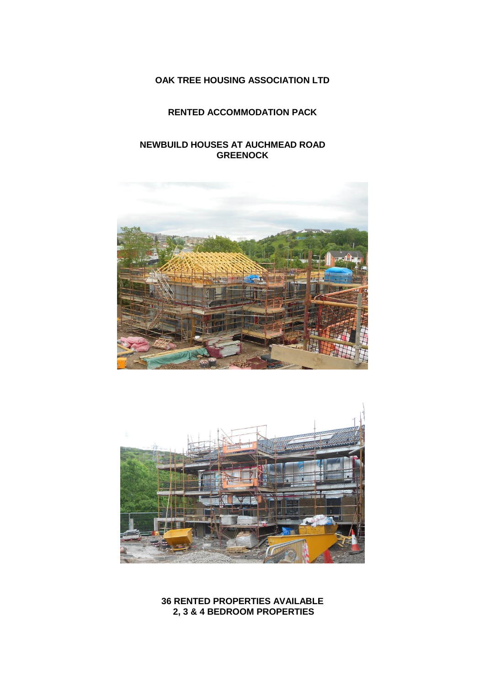# **OAK TREE HOUSING ASSOCIATION LTD**

## **RENTED ACCOMMODATION PACK**

## **NEWBUILD HOUSES AT AUCHMEAD ROAD GREENOCK**





**36 RENTED PROPERTIES AVAILABLE 2, 3 & 4 BEDROOM PROPERTIES**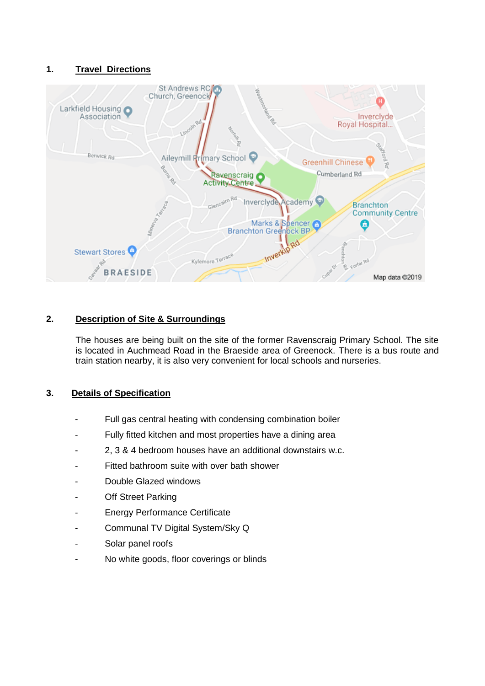## **1. Travel Directions**



## **2. Description of Site & Surroundings**

The houses are being built on the site of the former Ravenscraig Primary School. The site is located in Auchmead Road in the Braeside area of Greenock. There is a bus route and train station nearby, it is also very convenient for local schools and nurseries.

### **3. Details of Specification**

- Full gas central heating with condensing combination boiler
- Fully fitted kitchen and most properties have a dining area
- 2, 3 & 4 bedroom houses have an additional downstairs w.c.
- Fitted bathroom suite with over bath shower
- Double Glazed windows
- **Off Street Parking**
- **Energy Performance Certificate**
- Communal TV Digital System/Sky Q
- Solar panel roofs
- No white goods, floor coverings or blinds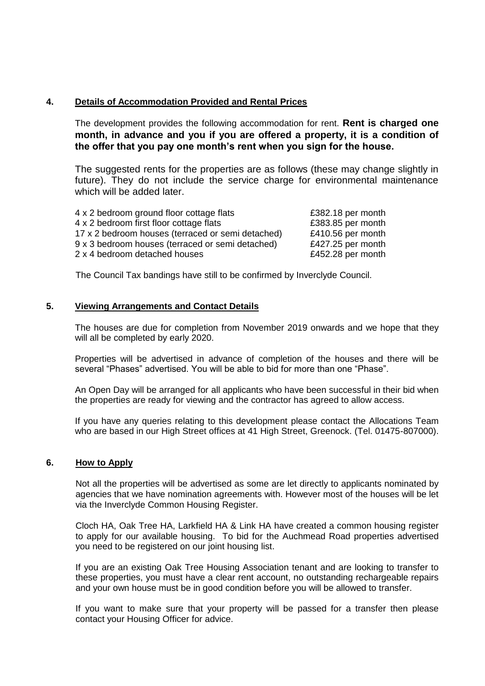### **4. Details of Accommodation Provided and Rental Prices**

The development provides the following accommodation for rent. **Rent is charged one month, in advance and you if you are offered a property, it is a condition of the offer that you pay one month's rent when you sign for the house.**

The suggested rents for the properties are as follows (these may change slightly in future). They do not include the service charge for environmental maintenance which will be added later.

| £382.18 per month |
|-------------------|
| £383.85 per month |
| £410.56 per month |
| £427.25 per month |
| £452.28 per month |
|                   |

The Council Tax bandings have still to be confirmed by Inverclyde Council.

### **5. Viewing Arrangements and Contact Details**

The houses are due for completion from November 2019 onwards and we hope that they will all be completed by early 2020.

Properties will be advertised in advance of completion of the houses and there will be several "Phases" advertised. You will be able to bid for more than one "Phase".

An Open Day will be arranged for all applicants who have been successful in their bid when the properties are ready for viewing and the contractor has agreed to allow access.

If you have any queries relating to this development please contact the Allocations Team who are based in our High Street offices at 41 High Street, Greenock. (Tel. 01475-807000).

#### **6. How to Apply**

Not all the properties will be advertised as some are let directly to applicants nominated by agencies that we have nomination agreements with. However most of the houses will be let via the Inverclyde Common Housing Register.

Cloch HA, Oak Tree HA, Larkfield HA & Link HA have created a common housing register to apply for our available housing. To bid for the Auchmead Road properties advertised you need to be registered on our joint housing list.

If you are an existing Oak Tree Housing Association tenant and are looking to transfer to these properties, you must have a clear rent account, no outstanding rechargeable repairs and your own house must be in good condition before you will be allowed to transfer.

If you want to make sure that your property will be passed for a transfer then please contact your Housing Officer for advice.